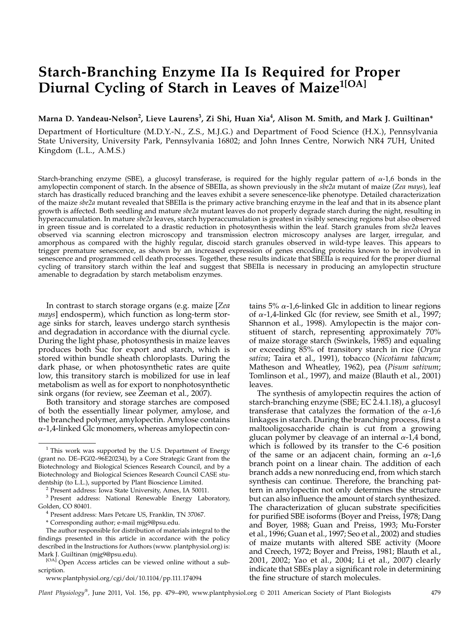# Starch-Branching Enzyme IIa Is Required for Proper Diurnal Cycling of Starch in Leaves of Maize<sup>1[OA]</sup>

## Marna D. Yandeau-Nelson<sup>2</sup>, Lieve Laurens<sup>3</sup>, Zi Shi, Huan Xia<sup>4</sup>, Alison M. Smith, and Mark J. Guiltinan\*

Department of Horticulture (M.D.Y.-N., Z.S., M.J.G.) and Department of Food Science (H.X.), Pennsylvania State University, University Park, Pennsylvania 16802; and John Innes Centre, Norwich NR4 7UH, United Kingdom (L.L., A.M.S.)

Starch-branching enzyme (SBE), a glucosyl transferase, is required for the highly regular pattern of  $\alpha$ -1,6 bonds in the amylopectin component of starch. In the absence of SBEIIa, as shown previously in the sbe2a mutant of maize (Zea mays), leaf starch has drastically reduced branching and the leaves exhibit a severe senescence-like phenotype. Detailed characterization of the maize sbe2a mutant revealed that SBEIIa is the primary active branching enzyme in the leaf and that in its absence plant growth is affected. Both seedling and mature sbe2a mutant leaves do not properly degrade starch during the night, resulting in hyperaccumulation. In mature sbe2a leaves, starch hyperaccumulation is greatest in visibly senescing regions but also observed in green tissue and is correlated to a drastic reduction in photosynthesis within the leaf. Starch granules from sbe2a leaves observed via scanning electron microscopy and transmission electron microscopy analyses are larger, irregular, and amorphous as compared with the highly regular, discoid starch granules observed in wild-type leaves. This appears to trigger premature senescence, as shown by an increased expression of genes encoding proteins known to be involved in senescence and programmed cell death processes. Together, these results indicate that SBEIIa is required for the proper diurnal cycling of transitory starch within the leaf and suggest that SBEIIa is necessary in producing an amylopectin structure amenable to degradation by starch metabolism enzymes.

In contrast to starch storage organs (e.g. maize [Zea mays] endosperm), which function as long-term storage sinks for starch, leaves undergo starch synthesis and degradation in accordance with the diurnal cycle. During the light phase, photosynthesis in maize leaves produces both Suc for export and starch, which is stored within bundle sheath chloroplasts. During the dark phase, or when photosynthetic rates are quite low, this transitory starch is mobilized for use in leaf metabolism as well as for export to nonphotosynthetic sink organs (for review, see Zeeman et al., 2007).

Both transitory and storage starches are composed of both the essentially linear polymer, amylose, and the branched polymer, amylopectin. Amylose contains  $\alpha$ -1,4-linked Glc monomers, whereas amylopectin contains 5%  $\alpha$ -1,6-linked Glc in addition to linear regions of  $\alpha$ -1,4-linked Glc (for review, see Smith et al., 1997; Shannon et al., 1998). Amylopectin is the major constituent of starch, representing approximately 70% of maize storage starch (Swinkels, 1985) and equaling or exceeding 85% of transitory starch in rice (Oryza sativa; Taira et al., 1991), tobacco (Nicotiana tabacum; Matheson and Wheatley, 1962), pea (Pisum sativum; Tomlinson et al., 1997), and maize (Blauth et al., 2001) leaves.

The synthesis of amylopectin requires the action of starch-branching enzyme (SBE; EC 2.4.1.18), a glucosyl transferase that catalyzes the formation of the  $\alpha$ -1,6 linkages in starch. During the branching process, first a maltooligosaccharide chain is cut from a growing glucan polymer by cleavage of an internal  $\alpha$ -1,4 bond, which is followed by its transfer to the C-6 position of the same or an adjacent chain, forming an  $\alpha$ -1,6 branch point on a linear chain. The addition of each branch adds a new nonreducing end, from which starch synthesis can continue. Therefore, the branching pattern in amylopectin not only determines the structure but can also influence the amount of starch synthesized. The characterization of glucan substrate specificities for purified SBE isoforms (Boyer and Preiss, 1978; Dang and Boyer, 1988; Guan and Preiss, 1993; Mu-Forster et al., 1996; Guan et al., 1997; Seo et al., 2002) and studies of maize mutants with altered SBE activity (Moore and Creech, 1972; Boyer and Preiss, 1981; Blauth et al., 2001, 2002; Yao et al., 2004; Li et al., 2007) clearly indicate that SBEs play a significant role in determining the fine structure of starch molecules.

www.plantphysiol.org/cgi/doi/10.1104/pp.111.174094

Plant Physiology®, June 2011, Vol. 156, pp. 479–490, www.plantphysiol.org © 2011 American Society of Plant Biologists 479

<sup>&</sup>lt;sup>1</sup> This work was supported by the U.S. Department of Energy (grant no. DE–FG02–96E20234), by a Core Strategic Grant from the Biotechnology and Biological Sciences Research Council, and by a Biotechnology and Biological Sciences Research Council CASE studentship (to L.L.), supported by Plant Bioscience Limited. <sup>2</sup> Present address: Iowa State University, Ames, IA 50011.

 $^3$  Present address: National Renewable Energy Laboratory, Golden, CO 80401.

 $4$  Present address: Mars Petcare US, Franklin, TN 37067.

<sup>\*</sup> Corresponding author; e-mail mjg9@psu.edu.

The author responsible for distribution of materials integral to the findings presented in this article in accordance with the policy described in the Instructions for Authors (www. plantphysiol.org) is: Mark J. Guiltinan (mjg9@psu.edu).

<sup>[</sup>OA] Open Access articles can be viewed online without a subscription.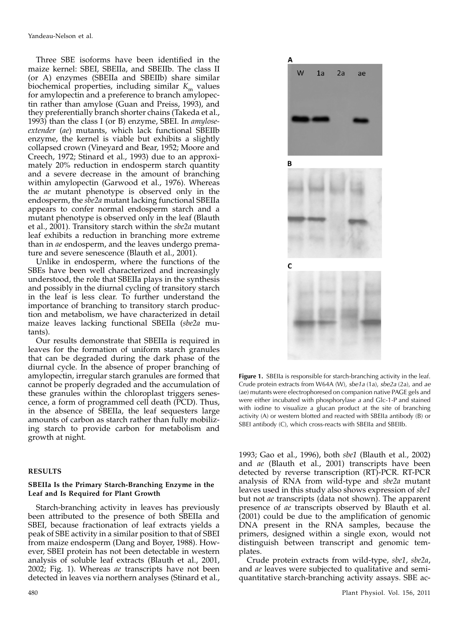Three SBE isoforms have been identified in the maize kernel: SBEI, SBEIIa, and SBEIIb. The class II (or A) enzymes (SBEIIa and SBEIIb) share similar biochemical properties, including similar  $K<sub>m</sub>$  values for amylopectin and a preference to branch amylopectin rather than amylose (Guan and Preiss, 1993), and they preferentially branch shorter chains (Takeda et al., 1993) than the class I (or B) enzyme, SBEI. In amyloseextender (ae) mutants, which lack functional SBEIIb enzyme, the kernel is viable but exhibits a slightly collapsed crown (Vineyard and Bear, 1952; Moore and Creech, 1972; Stinard et al., 1993) due to an approximately 20% reduction in endosperm starch quantity and a severe decrease in the amount of branching within amylopectin (Garwood et al., 1976). Whereas the ae mutant phenotype is observed only in the endosperm, the sbe2a mutant lacking functional SBEIIa appears to confer normal endosperm starch and a mutant phenotype is observed only in the leaf (Blauth et al., 2001). Transitory starch within the sbe2a mutant leaf exhibits a reduction in branching more extreme than in ae endosperm, and the leaves undergo premature and severe senescence (Blauth et al., 2001).

Unlike in endosperm, where the functions of the SBEs have been well characterized and increasingly understood, the role that SBEIIa plays in the synthesis and possibly in the diurnal cycling of transitory starch in the leaf is less clear. To further understand the importance of branching to transitory starch production and metabolism, we have characterized in detail maize leaves lacking functional SBEIIa (sbe2a mutants).

Our results demonstrate that SBEIIa is required in leaves for the formation of uniform starch granules that can be degraded during the dark phase of the diurnal cycle. In the absence of proper branching of amylopectin, irregular starch granules are formed that cannot be properly degraded and the accumulation of these granules within the chloroplast triggers senescence, a form of programmed cell death (PCD). Thus, in the absence of SBEIIa, the leaf sequesters large amounts of carbon as starch rather than fully mobilizing starch to provide carbon for metabolism and growth at night.

#### RESULTS

## SBEIIa Is the Primary Starch-Branching Enzyme in the Leaf and Is Required for Plant Growth

Starch-branching activity in leaves has previously been attributed to the presence of both SBEIIa and SBEI, because fractionation of leaf extracts yields a peak of SBE activity in a similar position to that of SBEI from maize endosperm (Dang and Boyer, 1988). However, SBEI protein has not been detectable in western analysis of soluble leaf extracts (Blauth et al., 2001, 2002; Fig. 1). Whereas *ae* transcripts have not been detected in leaves via northern analyses (Stinard et al.,



Figure 1. SBEIIa is responsible for starch-branching activity in the leaf. Crude protein extracts from W64A (W), sbe1a (1a), sbe2a (2a), and ae (ae) mutants were electrophoresed on companion native PAGE gels and were either incubated with phosphorylase a and Glc-1-P and stained with iodine to visualize a glucan product at the site of branching activity (A) or western blotted and reacted with SBEIIa antibody (B) or SBEI antibody (C), which cross-reacts with SBEIIa and SBEIIb.

1993; Gao et al., 1996), both sbe1 (Blauth et al., 2002) and ae (Blauth et al., 2001) transcripts have been detected by reverse transcription (RT)-PCR. RT-PCR analysis of RNA from wild-type and sbe2a mutant leaves used in this study also shows expression of sbe1 but not ae transcripts (data not shown). The apparent presence of ae transcripts observed by Blauth et al. (2001) could be due to the amplification of genomic DNA present in the RNA samples, because the primers, designed within a single exon, would not distinguish between transcript and genomic templates.

Crude protein extracts from wild-type, sbe1, sbe2a, and ae leaves were subjected to qualitative and semiquantitative starch-branching activity assays. SBE ac-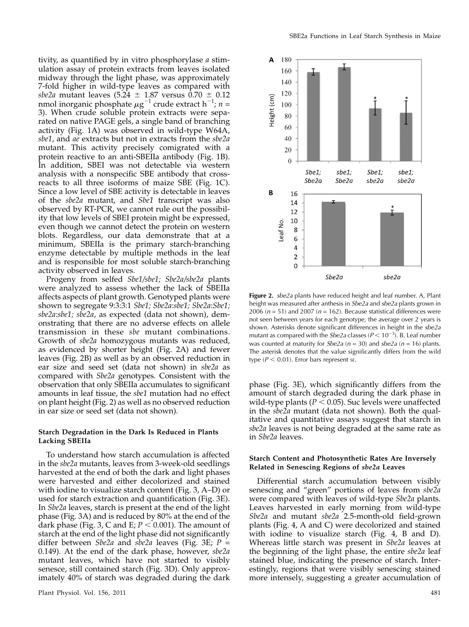tivity, as quantified by in vitro phosphorylase a stimulation assay of protein extracts from leaves isolated midway through the light phase, was approximately 7-fold higher in wild-type leaves as compared with sbe2a mutant leaves (5.24  $\pm$  1.87 versus 0.70  $\pm$  0.12 nmol inorganic phosphate  $\mu\mathrm{g}^{-1}$  crude extract h $^{-1}$ ;  $n=1$ 3). When crude soluble protein extracts were separated on native PAGE gels, a single band of branching activity (Fig. 1A) was observed in wild-type W64A, sbe1, and ae extracts but not in extracts from the sbe2a mutant. This activity precisely comigrated with a protein reactive to an anti-SBEIIa antibody (Fig. 1B). In addition, SBEI was not detectable via western analysis with a nonspecific SBE antibody that crossreacts to all three isoforms of maize SBE (Fig. 1C). Since a low level of SBE activity is detectable in leaves of the sbe2a mutant, and Sbe1 transcript was also observed by RT-PCR, we cannot rule out the possibility that low levels of SBEI protein might be expressed, even though we cannot detect the protein on western blots. Regardless, our data demonstrate that at a minimum, SBEIIa is the primary starch-branching enzyme detectable by multiple methods in the leaf and is responsible for most soluble starch-branching activity observed in leaves.

Progeny from selfed Sbe1/sbe1; Sbe2a/sbe2a plants were analyzed to assess whether the lack of SBEIIa affects aspects of plant growth. Genotyped plants were shown to segregate 9:3:3:1 Sbe1; Sbe2a:sbe1; Sbe2a:Sbe1; sbe2a:sbe1; sbe2a, as expected (data not shown), demonstrating that there are no adverse effects on allele transmission in these sbe mutant combinations. Growth of sbe2a homozygous mutants was reduced, as evidenced by shorter height (Fig. 2A) and fewer leaves (Fig. 2B) as well as by an observed reduction in ear size and seed set (data not shown) in sbe2a as compared with Sbe2a genotypes. Consistent with the observation that only SBEIIa accumulates to significant amounts in leaf tissue, the sbe1 mutation had no effect on plant height (Fig. 2) as well as no observed reduction in ear size or seed set (data not shown).

## Starch Degradation in the Dark Is Reduced in Plants Lacking SBEIIa

To understand how starch accumulation is affected in the sbe2a mutants, leaves from 3-week-old seedlings harvested at the end of both the dark and light phases were harvested and either decolorized and stained with iodine to visualize starch content (Fig. 3, A–D) or used for starch extraction and quantification (Fig. 3E). In Sbe2a leaves, starch is present at the end of the light phase (Fig. 3A) and is reduced by 80% at the end of the dark phase (Fig. 3, C and E;  $P < 0.001$ ). The amount of starch at the end of the light phase did not significantly differ between *Sbe2a* and *sbe2a* leaves (Fig. 3E;  $P =$ 0.149). At the end of the dark phase, however, sbe2a mutant leaves, which have not started to visibly senesce, still contained starch (Fig. 3D). Only approximately 40% of starch was degraded during the dark



Figure 2. sbe2a plants have reduced height and leaf number. A, Plant height was measured after anthesis in Sbe2a and sbe2a plants grown in 2006 ( $n = 51$ ) and 2007 ( $n = 162$ ). Because statistical differences were not seen between years for each genotype, the average over 2 years is shown. Asterisks denote significant differences in height in the sbe2a mutant as compared with the *Sbe2a* classes ( $P$  < 10<sup>-3</sup>). B, Leaf number was counted at maturity for *Sbe2a* ( $n = 30$ ) and *sbe2a* ( $n = 16$ ) plants. The asterisk denotes that the value significantly differs from the wild type ( $P < 0.01$ ). Error bars represent sE.

phase (Fig. 3E), which significantly differs from the amount of starch degraded during the dark phase in wild-type plants ( $P < 0.05$ ). Suc levels were unaffected in the sbe2a mutant (data not shown). Both the qualitative and quantitative assays suggest that starch in sbe2a leaves is not being degraded at the same rate as in Sbe2a leaves.

## Starch Content and Photosynthetic Rates Are Inversely Related in Senescing Regions of sbe2a Leaves

Differential starch accumulation between visibly senescing and "green" portions of leaves from sbe2a were compared with leaves of wild-type *Sbe2a* plants. Leaves harvested in early morning from wild-type Sbe2a and mutant sbe2a 2.5-month-old field-grown plants (Fig. 4, A and C) were decolorized and stained with iodine to visualize starch (Fig. 4, B and D). Whereas little starch was present in Sbe2a leaves at the beginning of the light phase, the entire sbe2a leaf stained blue, indicating the presence of starch. Interestingly, regions that were visibly senescing stained more intensely, suggesting a greater accumulation of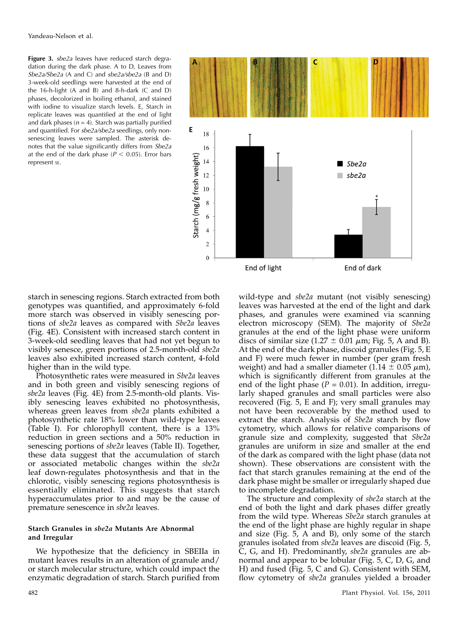Figure 3. sbe2a leaves have reduced starch degradation during the dark phase. A to D, Leaves from Sbe2a/Sbe2a (A and C) and sbe2a/sbe2a (B and D) 3-week-old seedlings were harvested at the end of the 16-h-light (A and B) and 8-h-dark (C and D) phases, decolorized in boiling ethanol, and stained with iodine to visualize starch levels. E, Starch in replicate leaves was quantified at the end of light and dark phases ( $n = 4$ ). Starch was partially purified and quantified. For sbe2a/sbe2a seedlings, only nonsenescing leaves were sampled. The asterisk denotes that the value significantly differs from Sbe2a at the end of the dark phase ( $P < 0.05$ ). Error bars represent SE.



starch in senescing regions. Starch extracted from both genotypes was quantified, and approximately 6-fold more starch was observed in visibly senescing portions of sbe2a leaves as compared with Sbe2a leaves (Fig. 4E). Consistent with increased starch content in 3-week-old seedling leaves that had not yet begun to visibly senesce, green portions of 2.5-month-old sbe2a leaves also exhibited increased starch content, 4-fold higher than in the wild type.

Photosynthetic rates were measured in Sbe2a leaves and in both green and visibly senescing regions of sbe2a leaves (Fig. 4E) from 2.5-month-old plants. Visibly senescing leaves exhibited no photosynthesis, whereas green leaves from sbe2a plants exhibited a photosynthetic rate 18% lower than wild-type leaves (Table I). For chlorophyll content, there is a 13% reduction in green sections and a 50% reduction in senescing portions of *sbe2a* leaves (Table II). Together, these data suggest that the accumulation of starch or associated metabolic changes within the sbe2a leaf down-regulates photosynthesis and that in the chlorotic, visibly senescing regions photosynthesis is essentially eliminated. This suggests that starch hyperaccumulates prior to and may be the cause of premature senescence in sbe2a leaves.

## Starch Granules in sbe2a Mutants Are Abnormal and Irregular

We hypothesize that the deficiency in SBEIIa in mutant leaves results in an alteration of granule and/ or starch molecular structure, which could impact the enzymatic degradation of starch. Starch purified from

wild-type and sbe2a mutant (not visibly senescing) leaves was harvested at the end of the light and dark phases, and granules were examined via scanning electron microscopy (SEM). The majority of Sbe2a granules at the end of the light phase were uniform discs of similar size (1.27  $\pm$  0.01  $\mu$ m; Fig. 5, A and B). At the end of the dark phase, discoid granules (Fig. 5, E and F) were much fewer in number (per gram fresh weight) and had a smaller diameter (1.14  $\pm$  0.05  $\mu$ m), which is significantly different from granules at the end of the light phase ( $P = 0.01$ ). In addition, irregularly shaped granules and small particles were also recovered (Fig. 5, E and F); very small granules may not have been recoverable by the method used to extract the starch. Analysis of Sbe2a starch by flow cytometry, which allows for relative comparisons of granule size and complexity, suggested that Sbe2a granules are uniform in size and smaller at the end of the dark as compared with the light phase (data not shown). These observations are consistent with the fact that starch granules remaining at the end of the dark phase might be smaller or irregularly shaped due to incomplete degradation.

The structure and complexity of sbe2a starch at the end of both the light and dark phases differ greatly from the wild type. Whereas Sbe2a starch granules at the end of the light phase are highly regular in shape and size (Fig. 5, A and B), only some of the starch granules isolated from sbe2a leaves are discoid (Fig. 5, C, G, and H). Predominantly, sbe2a granules are abnormal and appear to be lobular (Fig. 5, C, D, G, and H) and fused (Fig. 5, C and G). Consistent with SEM, flow cytometry of sbe2a granules yielded a broader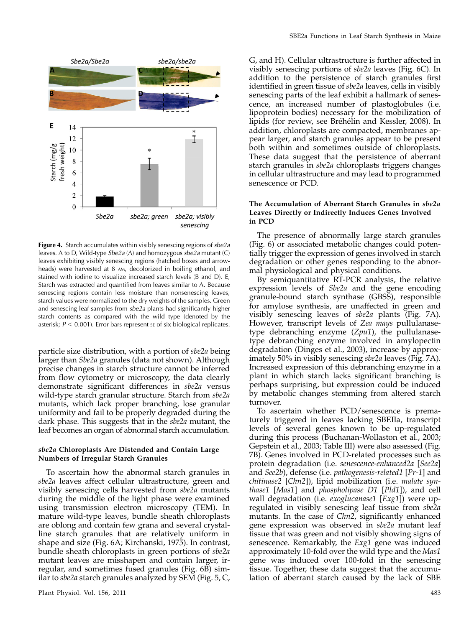

Figure 4. Starch accumulates within visibly senescing regions of sbe2a leaves. A to D, Wild-type Sbe2a (A) and homozygous sbe2a mutant (C) leaves exhibiting visibly senescing regions (hatched boxes and arrowheads) were harvested at 8 AM, decolorized in boiling ethanol, and stained with iodine to visualize increased starch levels (B and D). E, Starch was extracted and quantified from leaves similar to A. Because senescing regions contain less moisture than nonsenescing leaves, starch values were normalized to the dry weights of the samples. Green and senescing leaf samples from sbe2a plants had significantly higher starch contents as compared with the wild type (denoted by the asterisk;  $P < 0.001$ ). Error bars represent se of six biological replicates.

particle size distribution, with a portion of sbe2a being larger than Sbe2a granules (data not shown). Although precise changes in starch structure cannot be inferred from flow cytometry or microscopy, the data clearly demonstrate significant differences in sbe2a versus wild-type starch granular structure. Starch from sbe2a mutants, which lack proper branching, lose granular uniformity and fail to be properly degraded during the dark phase. This suggests that in the sbe2a mutant, the leaf becomes an organ of abnormal starch accumulation.

## sbe2a Chloroplasts Are Distended and Contain Large Numbers of Irregular Starch Granules

To ascertain how the abnormal starch granules in sbe2a leaves affect cellular ultrastructure, green and visibly senescing cells harvested from sbe2a mutants during the middle of the light phase were examined using transmission electron microscopy (TEM). In mature wild-type leaves, bundle sheath chloroplasts are oblong and contain few grana and several crystalline starch granules that are relatively uniform in shape and size (Fig. 6A; Kirchanski, 1975). In contrast, bundle sheath chloroplasts in green portions of sbe2a mutant leaves are misshapen and contain larger, irregular, and sometimes fused granules (Fig. 6B) similar to sbe2a starch granules analyzed by SEM (Fig. 5, C,

G, and H). Cellular ultrastructure is further affected in visibly senescing portions of sbe2a leaves (Fig. 6C). In addition to the persistence of starch granules first identified in green tissue of sbe2a leaves, cells in visibly senescing parts of the leaf exhibit a hallmark of senescence, an increased number of plastoglobules (i.e. lipoprotein bodies) necessary for the mobilization of lipids (for review, see Bréhélin and Kessler, 2008). In addition, chloroplasts are compacted, membranes appear larger, and starch granules appear to be present both within and sometimes outside of chloroplasts. These data suggest that the persistence of aberrant starch granules in sbe2a chloroplasts triggers changes in cellular ultrastructure and may lead to programmed senescence or PCD.

## The Accumulation of Aberrant Starch Granules in sbe2a Leaves Directly or Indirectly Induces Genes Involved in PCD

The presence of abnormally large starch granules (Fig. 6) or associated metabolic changes could potentially trigger the expression of genes involved in starch degradation or other genes responding to the abnormal physiological and physical conditions.

By semiquantitative RT-PCR analysis, the relative expression levels of Sbe2a and the gene encoding granule-bound starch synthase (GBSS), responsible for amylose synthesis, are unaffected in green and visibly senescing leaves of sbe2a plants (Fig. 7A). However, transcript levels of Zea mays pullulanasetype debranching enzyme  $(Zpu1)$ , the pullulanasetype debranching enzyme involved in amylopectin degradation (Dinges et al., 2003), increase by approximately 50% in visibly senescing sbe2a leaves (Fig. 7A). Increased expression of this debranching enzyme in a plant in which starch lacks significant branching is perhaps surprising, but expression could be induced by metabolic changes stemming from altered starch turnover.

To ascertain whether PCD/senescence is prematurely triggered in leaves lacking SBEIIa, transcript levels of several genes known to be up-regulated during this process (Buchanan-Wollaston et al., 2003; Gepstein et al., 2003; Table III) were also assessed (Fig. 7B). Genes involved in PCD-related processes such as protein degradation (i.e. senescence-enhanced2a [See2a] and See2b), defense (i.e. pathogenesis-related1 [Pr-1] and chitinase2 [Chn2]), lipid mobilization (i.e. malate synthase1 [Mas1] and phospholipase D1 [Pld1]), and cell wall degradation (i.e. *exoglucanase1* [*Exg1*]) were upregulated in visibly senescing leaf tissue from sbe2a mutants. In the case of Chn2, significantly enhanced gene expression was observed in sbe2a mutant leaf tissue that was green and not visibly showing signs of senescence. Remarkably, the  $Exg1$  gene was induced approximately 10-fold over the wild type and the Mas1 gene was induced over 100-fold in the senescing tissue. Together, these data suggest that the accumulation of aberrant starch caused by the lack of SBE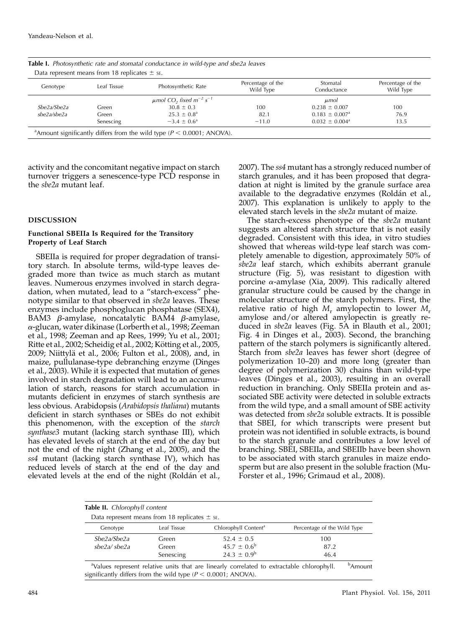| Genotype    | Leaf Tissue | Photosynthetic Rate                                             | Percentage of the<br>Wild Type | Stomatal<br>Conductance        | Percentage of the<br>Wild Type |
|-------------|-------------|-----------------------------------------------------------------|--------------------------------|--------------------------------|--------------------------------|
|             |             | $\mu$ mol CO <sub>2</sub> fixed m <sup>-2</sup> s <sup>-1</sup> |                                | $\mu$ mol                      |                                |
| Sbe2a/Sbe2a | Green       | $30.8 \pm 0.3$                                                  | 100                            | $0.238 \pm 0.007$              | 100                            |
| sbe2a/sbe2a | Green       | $25.3 \pm 0.8^{\circ}$                                          | 82.1                           | $0.183 \pm 0.007$ <sup>a</sup> | 76.9                           |
|             | Senescing   | $-3.4 \pm 0.6^{\circ}$                                          | $-11.0$                        | $0.032 \pm 0.004^{\text{a}}$   | 13.5                           |

Table I. Photosynthetic rate and stomatal conductance in wild-type and sbe2a leaves

activity and the concomitant negative impact on starch turnover triggers a senescence-type PCD response in the sbe2a mutant leaf.

## DISCUSSION

## Functional SBEIIa Is Required for the Transitory Property of Leaf Starch

SBEIIa is required for proper degradation of transitory starch. In absolute terms, wild-type leaves degraded more than twice as much starch as mutant leaves. Numerous enzymes involved in starch degradation, when mutated, lead to a "starch-excess" phenotype similar to that observed in *sbe2a* leaves. These enzymes include phosphoglucan phosphatase (SEX4), BAM3  $\beta$ -amylase, noncatalytic BAM4  $\beta$ -amylase, a-glucan, water dikinase (Lorberth et al., 1998; Zeeman et al., 1998; Zeeman and ap Rees, 1999; Yu et al., 2001; Ritte et al., 2002; Scheidig et al., 2002; Kötting et al., 2005, 2009; Niittyla¨ et al., 2006; Fulton et al., 2008), and, in maize, pullulanase-type debranching enzyme (Dinges et al., 2003). While it is expected that mutation of genes involved in starch degradation will lead to an accumulation of starch, reasons for starch accumulation in mutants deficient in enzymes of starch synthesis are less obvious. Arabidopsis (Arabidopsis thaliana) mutants deficient in starch synthases or SBEs do not exhibit this phenomenon, with the exception of the starch synthase3 mutant (lacking starch synthase III), which has elevated levels of starch at the end of the day but not the end of the night (Zhang et al., 2005), and the ss4 mutant (lacking starch synthase IV), which has reduced levels of starch at the end of the day and elevated levels at the end of the night (Roldán et al., 2007). The ss4 mutant has a strongly reduced number of starch granules, and it has been proposed that degradation at night is limited by the granule surface area available to the degradative enzymes (Roldán et al., 2007). This explanation is unlikely to apply to the elevated starch levels in the sbe2a mutant of maize.

The starch-excess phenotype of the sbe2a mutant suggests an altered starch structure that is not easily degraded. Consistent with this idea, in vitro studies showed that whereas wild-type leaf starch was completely amenable to digestion, approximately 50% of sbe2a leaf starch, which exhibits aberrant granule structure (Fig. 5), was resistant to digestion with porcine  $\alpha$ -amylase (Xia, 2009). This radically altered granular structure could be caused by the change in molecular structure of the starch polymers. First, the relative ratio of high  $M_r$  amylopectin to lower  $M_r$ amylose and/or altered amylopectin is greatly reduced in sbe2a leaves (Fig. 5A in Blauth et al., 2001; Fig. 4 in Dinges et al., 2003). Second, the branching pattern of the starch polymers is significantly altered. Starch from sbe2a leaves has fewer short (degree of polymerization 10–20) and more long (greater than degree of polymerization 30) chains than wild-type leaves (Dinges et al., 2003), resulting in an overall reduction in branching. Only SBEIIa protein and associated SBE activity were detected in soluble extracts from the wild type, and a small amount of SBE activity was detected from sbe2a soluble extracts. It is possible that SBEI, for which transcripts were present but protein was not identified in soluble extracts, is bound to the starch granule and contributes a low level of branching. SBEI, SBEIIa, and SBEIIb have been shown to be associated with starch granules in maize endosperm but are also present in the soluble fraction (Mu-Forster et al., 1996; Grimaud et al., 2008).

|             | Data represent means from 18 replicates $\pm$ s. |                          |                             |  |  |
|-------------|--------------------------------------------------|--------------------------|-----------------------------|--|--|
| Genotype    | Chlorophyll Content <sup>a</sup><br>Leaf Tissue  |                          | Percentage of the Wild Type |  |  |
| She2a/She2a | Green                                            | $52.4 \pm 0.5$           | 100                         |  |  |
| sbe2a/sbe2a | Green                                            | $45.7 \pm 0.6^b$<br>87.2 |                             |  |  |
|             | Senescing                                        | $24.3 \pm 0.9^b$         | 46.4                        |  |  |

significantly differs from the wild type ( $P < 0.0001$ ; ANOVA).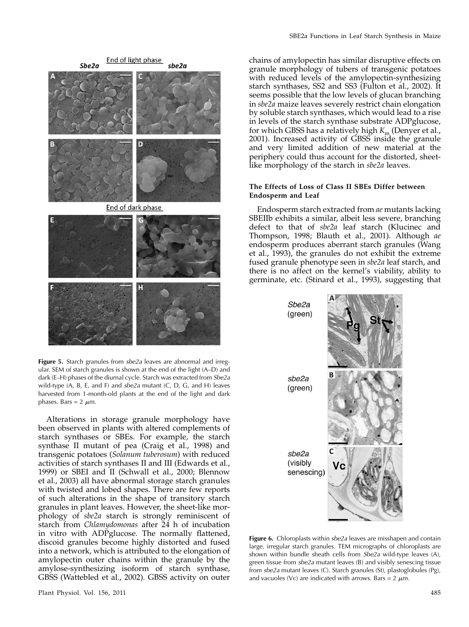

Figure 5. Starch granules from sbe2a leaves are abnormal and irregular. SEM of starch granules is shown at the end of the light (A–D) and dark (E-H) phases of the diurnal cycle. Starch was extracted from Sbe2a wild-type  $(A, B, E, and F)$  and  $she2a$  mutant  $(C, D, G, and H)$  leaves harvested from 1-month-old plants at the end of the light and dark phases. Bars =  $2 \mu m$ .

Alterations in storage granule morphology have been observed in plants with altered complements of starch synthases or SBEs. For example, the starch synthase II mutant of pea (Craig et al., 1998) and transgenic potatoes (Solanum tuberosum) with reduced activities of starch synthases II and III (Edwards et al., 1999) or SBEI and II (Schwall et al., 2000; Blennow et al., 2003) all have abnormal storage starch granules with twisted and lobed shapes. There are few reports of such alterations in the shape of transitory starch granules in plant leaves. However, the sheet-like morphology of sbe2a starch is strongly reminiscent of starch from Chlamydomonas after  $\bar{2}4$  h of incubation in vitro with ADPglucose. The normally flattened, discoid granules become highly distorted and fused into a network, which is attributed to the elongation of amylopectin outer chains within the granule by the amylose-synthesizing isoform of starch synthase, GBSS (Wattebled et al., 2002). GBSS activity on outer chains of amylopectin has similar disruptive effects on granule morphology of tubers of transgenic potatoes with reduced levels of the amylopectin-synthesizing starch synthases, SS2 and SS3 (Fulton et al., 2002). It seems possible that the low levels of glucan branching in sbe2a maize leaves severely restrict chain elongation by soluble starch synthases, which would lead to a rise in levels of the starch synthase substrate ADPglucose, for which GBSS has a relatively high  $K<sub>m</sub>$  (Denyer et al., 2001). Increased activity of GBSS inside the granule and very limited addition of new material at the periphery could thus account for the distorted, sheetlike morphology of the starch in sbe2a leaves.

## The Effects of Loss of Class II SBEs Differ between Endosperm and Leaf

Endosperm starch extracted from ae mutants lacking SBEIIb exhibits a similar, albeit less severe, branching defect to that of sbe2a leaf starch (Klucinec and Thompson, 1998; Blauth et al., 2001). Although ae endosperm produces aberrant starch granules (Wang et al., 1993), the granules do not exhibit the extreme fused granule phenotype seen in sbe2a leaf starch, and there is no affect on the kernel's viability, ability to germinate, etc. (Stinard et al., 1993), suggesting that



Figure 6. Chloroplasts within sbe2a leaves are misshapen and contain large, irregular starch granules. TEM micrographs of chloroplasts are shown within bundle sheath cells from Sbe2a wild-type leaves (A), green tissue from sbe2a mutant leaves (B) and visibly senescing tissue from sbe2a mutant leaves (C). Starch granules (St), plastoglobules (Pg), and vacuoles (Vc) are indicated with arrows. Bars =  $2 \mu m$ .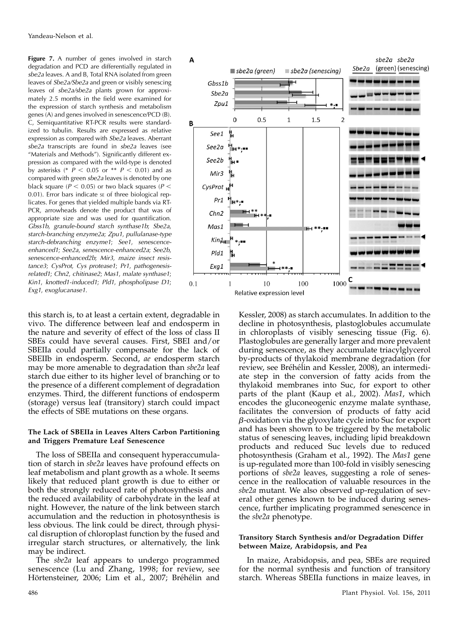Figure 7. A number of genes involved in starch degradation and PCD are differentially regulated in sbe2a leaves. A and B, Total RNA isolated from green leaves of Sbe2a/Sbe2a and green or visibly senescing leaves of sbe2a/sbe2a plants grown for approximately 2.5 months in the field were examined for the expression of starch synthesis and metabolism genes (A) and genes involved in senescence/PCD (B). C, Semiquantitative RT-PCR results were standardized to tubulin. Results are expressed as relative expression as compared with Sbe2a leaves. Aberrant sbe2a transcripts are found in sbe2a leaves (see "Materials and Methods"). Significantly different expression as compared with the wild-type is denoted by asterisks (\*  $P < 0.05$  or \*\*  $P < 0.01$ ) and as compared with green sbe2a leaves is denoted by one black square ( $P < 0.05$ ) or two black squares ( $P <$ 0.01). Error bars indicate se of three biological replicates. For genes that yielded multiple bands via RT-PCR, arrowheads denote the product that was of appropriate size and was used for quantification. Gbss1b, granule-bound starch synthase1b; Sbe2a, starch-branching enzyme2a; Zpu1, pullulanase-type starch-debranching enzyme1; See1, senescenceenhanced1; See2a, senescence-enhanced2a; See2b, senescence-enhanced2b; Mir3, maize insect resistance3; CysProt, Cys protease1; Pr1, pathogenesisrelated1; Chn2, chitinase2; Mas1, malate synthase1; Kin1, knotted1-induced1; Pld1, phospholipase D1; Exg1, exoglucanase1.

this starch is, to at least a certain extent, degradable in vivo. The difference between leaf and endosperm in the nature and severity of effect of the loss of class II SBEs could have several causes. First, SBEI and/or SBEIIa could partially compensate for the lack of SBEIIb in endosperm. Second, ae endosperm starch may be more amenable to degradation than sbe2a leaf starch due either to its higher level of branching or to the presence of a different complement of degradation enzymes. Third, the different functions of endosperm (storage) versus leaf (transitory) starch could impact the effects of SBE mutations on these organs.

#### The Lack of SBEIIa in Leaves Alters Carbon Partitioning and Triggers Premature Leaf Senescence

The loss of SBEIIa and consequent hyperaccumulation of starch in sbe2a leaves have profound effects on leaf metabolism and plant growth as a whole. It seems likely that reduced plant growth is due to either or both the strongly reduced rate of photosynthesis and the reduced availability of carbohydrate in the leaf at night. However, the nature of the link between starch accumulation and the reduction in photosynthesis is less obvious. The link could be direct, through physical disruption of chloroplast function by the fused and irregular starch structures, or alternatively, the link may be indirect.

The *sbe2a* leaf appears to undergo programmed senescence (Lu and Zhang, 1998; for review, see Hörtensteiner, 2006; Lim et al., 2007; Bréhélin and



Kessler, 2008) as starch accumulates. In addition to the decline in photosynthesis, plastoglobules accumulate in chloroplasts of visibly senescing tissue (Fig. 6). Plastoglobules are generally larger and more prevalent during senescence, as they accumulate triacylglycerol by-products of thylakoid membrane degradation (for review, see Bréhélin and Kessler, 2008), an intermediate step in the conversion of fatty acids from the thylakoid membranes into Suc, for export to other parts of the plant (Kaup et al., 2002). Mas1, which encodes the gluconeogenic enzyme malate synthase, facilitates the conversion of products of fatty acid  $\beta$ -oxidation via the glyoxylate cycle into Suc for export and has been shown to be triggered by the metabolic status of senescing leaves, including lipid breakdown products and reduced Suc levels due to reduced photosynthesis (Graham et al., 1992). The Mas1 gene is up-regulated more than 100-fold in visibly senescing portions of sbe2a leaves, suggesting a role of senescence in the reallocation of valuable resources in the sbe2a mutant. We also observed up-regulation of several other genes known to be induced during senescence, further implicating programmed senescence in the *sbe2a* phenotype.

## Transitory Starch Synthesis and/or Degradation Differ between Maize, Arabidopsis, and Pea

In maize, Arabidopsis, and pea, SBEs are required for the normal synthesis and function of transitory starch. Whereas SBEIIa functions in maize leaves, in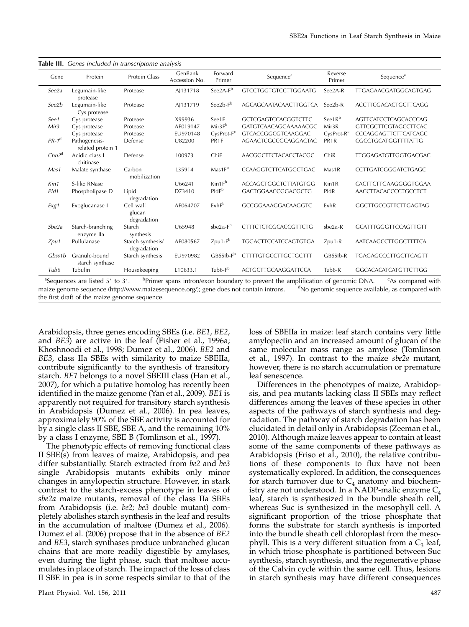| <b>Table III.</b> Genes included in transcriptome analysis |                                    |                                    |                          |                        |                             |                    |                             |  |  |
|------------------------------------------------------------|------------------------------------|------------------------------------|--------------------------|------------------------|-----------------------------|--------------------|-----------------------------|--|--|
| Gene                                                       | Protein                            | Protein Class                      | GenBank<br>Accession No. | Forward<br>Primer      | Sequence <sup>a</sup>       | Reverse<br>Primer  | Sequence <sup>a</sup>       |  |  |
| See2a                                                      | Legumain-like<br>protease          | Protease                           | AJ131718                 | $See 2A-Fb$            | <b>GTCCTGGTGTCCTTGGAATG</b> | See2A-R            | TTGAGAACGATGGCAGTGAG        |  |  |
| See2b                                                      | Legumain-like<br>Cys protease      | Protease                           | AJ131719                 | See $2b-F^b$           | AGCAGCAATACAACTTGGTCA       | See2b-R            | <b>ACCTTCGACACTGCTTCAGG</b> |  |  |
| See1                                                       | Cys protease                       | Protease                           | X99936                   | See1F                  | <b>GCTCGAGTCCACGGTCTTC</b>  | See1R <sup>b</sup> | <b>AGTTCATCCTCAGCACCCAG</b> |  |  |
| Mir3                                                       | Cys protease                       | Protease                           | AF019147                 | Mir3F <sup>b</sup>     | GATGTCAACAGGAAAAACGC        | Mir <sub>3</sub> R | <b>GTTCGCTTCGTAGCCTTCAC</b> |  |  |
|                                                            | Cys protease                       | Protease                           | EU970148                 | CysProt-F <sup>c</sup> | <b>GTCACCGGCGTCAAGGAC</b>   | $CysProt-Rc$       | CCCAGGAGTTCTTCATCAGC        |  |  |
| $PR-1^d$                                                   | Pathogenesis-<br>related protein 1 | Defense                            | U82200                   | PR <sub>1F</sub>       | AGAACTCGCCGCAGGACTAC        | PR <sub>1</sub> R  | <b>CGCCTGCATGGTTTTATTG</b>  |  |  |
| Chn2 <sup>d</sup>                                          | Acidic class I<br>chitinase        | Defense                            | L00973                   | ChiF                   | AACGGCTTCTACACCTACGC        | ChiR               | TTGGAGATGTTGGTGACGAC        |  |  |
| Mas1                                                       | Malate synthase                    | Carbon<br>mobilization             | L35914                   | $Mas1F^b$              | CCAAGGTCTTCATGGCTGAC        | Mas1R              | CCTTGATCGGGATCTGAGC         |  |  |
| Kin1                                                       | S-like RNase                       |                                    | U66241                   | Kin1F <sup>b</sup>     | <b>ACCAGCTGGCTCTTATGTGG</b> | Kin1R              | CACTTCTTGAAGGGGTGGAA        |  |  |
| Pld1                                                       | Phospholipase D                    | Lipid<br>degradation               | D73410                   | PIdF <sup>b</sup>      | GACTGGAACCGGACGCTG          | PldR               | AACCTTACACCCCTGCCTCT        |  |  |
| Exg1                                                       | Exoglucanase I                     | Cell wall<br>glucan<br>degradation | AF064707                 | ExhF <sup>b</sup>      | GCCGGAAAGGACAAGGTC          | ExhR               | <b>GGCTTGCCGTTCTTGAGTAG</b> |  |  |
| Sbe2a                                                      | Starch-branching<br>enzyme lla     | Starch<br>synthesis                | U65948                   | $she2a-Fb$             | <b>CTTTCTCTCGCACCGTTCTG</b> | $she2a-R$          | <b>GCATTTGGGTTCCAGTTGTT</b> |  |  |
| Zpu1                                                       | Pullulanase                        | Starch synthesis/<br>degradation   | AF080567                 | $Zpu1-Fb$              | <b>TGGACTTCCATCCAGTGTGA</b> | Zpu1-R             | AATCAAGCCTTGGCTTTTCA        |  |  |
| Gbss1b                                                     | Granule-bound<br>starch synthase   | Starch synthesis                   | EU970982                 | $GBSSIb-Fb$            | <b>CTTTTGTGCCTTGCTGCTTT</b> | GBSSIb-R           | <b>TGAGAGCCCTTGCTTCAGTT</b> |  |  |
| Tub6                                                       | Tubulin                            | Housekeeping                       | L10633.1                 | Tub6-F <sup>b</sup>    | <b>ACTGCTTGCAAGGATTCCA</b>  | Tub6-R             | <b>GGCACACATCATGTTCTTGG</b> |  |  |

 $a^a$ Sequences are listed 5' to 3'.  $b^b$ <sup>b</sup>Primer spans intron/exon boundary to prevent the amplification of genomic DNA. As compared with maize genome sequence (http://www.maizesequence.org/); gene does not contain introns. <sup>d</sup>No genomic sequence available, as compared with the first draft of the maize genome sequence.

Arabidopsis, three genes encoding SBEs (i.e. BE1, BE2, and BE3) are active in the leaf (Fisher et al., 1996a; Khoshnoodi et al., 1998; Dumez et al., 2006). BE2 and BE3, class IIa SBEs with similarity to maize SBEIIa, contribute significantly to the synthesis of transitory starch. BE1 belongs to a novel SBEIII class (Han et al., 2007), for which a putative homolog has recently been identified in the maize genome (Yan et al., 2009). BE1 is apparently not required for transitory starch synthesis in Arabidopsis (Dumez et al., 2006). In pea leaves, approximately 90% of the SBE activity is accounted for by a single class II SBE, SBE A, and the remaining 10% by a class I enzyme, SBE B (Tomlinson et al., 1997).

The phenotypic effects of removing functional class II SBE(s) from leaves of maize, Arabidopsis, and pea differ substantially. Starch extracted from be2 and be3 single Arabidopsis mutants exhibits only minor changes in amylopectin structure. However, in stark contrast to the starch-excess phenotype in leaves of sbe2a maize mutants, removal of the class IIa SBEs from Arabidopsis (i.e. be2; be3 double mutant) completely abolishes starch synthesis in the leaf and results in the accumulation of maltose (Dumez et al., 2006). Dumez et al. (2006) propose that in the absence of BE2 and BE3, starch synthases produce unbranched glucan chains that are more readily digestible by amylases, even during the light phase, such that maltose accumulates in place of starch. The impact of the loss of class II SBE in pea is in some respects similar to that of the

loss of SBEIIa in maize: leaf starch contains very little amylopectin and an increased amount of glucan of the same molecular mass range as amylose (Tomlinson et al., 1997). In contrast to the maize sbe2a mutant, however, there is no starch accumulation or premature leaf senescence.

Differences in the phenotypes of maize, Arabidopsis, and pea mutants lacking class II SBEs may reflect differences among the leaves of these species in other aspects of the pathways of starch synthesis and degradation. The pathway of starch degradation has been elucidated in detail only in Arabidopsis (Zeeman et al., 2010). Although maize leaves appear to contain at least some of the same components of these pathways as Arabidopsis (Friso et al., 2010), the relative contributions of these components to flux have not been systematically explored. In addition, the consequences for starch turnover due to  $C_4$  anatomy and biochemistry are not understood. In a NADP-malic enzyme  $C_4$ leaf, starch is synthesized in the bundle sheath cell, whereas Suc is synthesized in the mesophyll cell. A significant proportion of the triose phosphate that forms the substrate for starch synthesis is imported into the bundle sheath cell chloroplast from the mesophyll. This is a very different situation from a  $C_3$  leaf, in which triose phosphate is partitioned between Suc synthesis, starch synthesis, and the regenerative phase of the Calvin cycle within the same cell. Thus, lesions in starch synthesis may have different consequences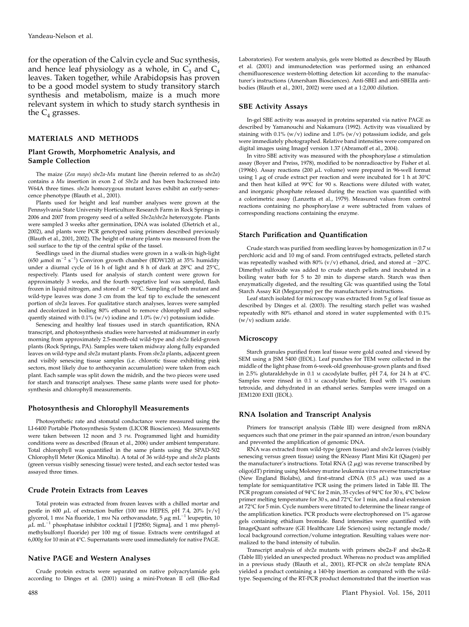for the operation of the Calvin cycle and Suc synthesis, and hence leaf physiology as a whole, in  $C_3$  and  $C_4$ leaves. Taken together, while Arabidopsis has proven to be a good model system to study transitory starch synthesis and metabolism, maize is a much more relevant system in which to study starch synthesis in the  $C_4$  grasses.

#### MATERIALS AND METHODS

#### Plant Growth, Morphometric Analysis, and Sample Collection

The maize (Zea mays) sbe2a-Mu mutant line (herein referred to as sbe2a) contains a Mu insertion in exon 2 of Sbe2a and has been backcrossed into W64A three times. sbe2a homozygous mutant leaves exhibit an early-senescence phenotype (Blauth et al., 2001).

Plants used for height and leaf number analyses were grown at the Pennsylvania State University Horticulture Research Farm in Rock Springs in 2006 and 2007 from progeny seed of a selfed Sbe2a/sbe2a heterozygote. Plants were sampled 3 weeks after germination, DNA was isolated (Dietrich et al., 2002), and plants were PCR genotyped using primers described previously (Blauth et al., 2001, 2002). The height of mature plants was measured from the soil surface to the tip of the central spike of the tassel.

Seedlings used in the diurnal studies were grown in a walk-in high-light (650  $\mu$ mol m<sup>-2</sup> s<sup>-1</sup>) Conviron growth chamber (BDW120) at 35% humidity under a diurnal cycle of 16 h of light and 8 h of dark at  $28^{\circ}$ C and  $25^{\circ}$ C, respectively. Plants used for analysis of starch content were grown for approximately 3 weeks, and the fourth vegetative leaf was sampled, flash frozen in liquid nitrogen, and stored at  $-80^{\circ}$ C. Sampling of both mutant and wild-type leaves was done 3 cm from the leaf tip to exclude the senescent portion of sbe2a leaves. For qualitative starch analyses, leaves were sampled and decolorized in boiling 80% ethanol to remove chlorophyll and subsequently stained with  $0.1\%$  (w/v) iodine and  $1.0\%$  (w/v) potassium iodide.

Senescing and healthy leaf tissues used in starch quantification, RNA transcript, and photosynthesis studies were harvested at midsummer in early morning from approximately 2.5-month-old wild-type and sbe2a field-grown plants (Rock Springs, PA). Samples were taken midway along fully expanded leaves on wild-type and sbe2a mutant plants. From sbe2a plants, adjacent green and visibly senescing tissue samples (i.e. chlorotic tissue exhibiting pink sectors, most likely due to anthocyanin accumulation) were taken from each plant. Each sample was split down the midrib, and the two pieces were used for starch and transcript analyses. These same plants were used for photosynthesis and chlorophyll measurements.

#### Photosynthesis and Chlorophyll Measurements

Photosynthetic rate and stomatal conductance were measured using the LI-6400 Portable Photosynthesis System (LICOR Biosciences). Measurements were taken between 12 noon and 3 PM. Programmed light and humidity conditions were as described (Braun et al., 2006) under ambient temperature. Total chlorophyll was quantified in the same plants using the SPAD-502 Chlorophyll Meter (Konica Minolta). A total of 36 wild-type and sbe2a plants (green versus visibly senescing tissue) were tested, and each sector tested was assayed three times.

#### Crude Protein Extracts from Leaves

Total protein was extracted from frozen leaves with a chilled mortar and pestle in 600  $\mu$ L of extraction buffer (100 mm HEPES, pH 7.4, 20% [v/v] glycerol, 1 mm Na fluoride, 1 mm Na orthovanadate, 5  $\mu$ g mL<sup>-1</sup> leupeptin, 10  $\mu$ L mL<sup>-1</sup> phosphatase inhibitor cocktail I [P2850; Sigma], and 1 mm phenylmethylsulfonyl fluoride) per 100 mg of tissue. Extracts were centrifuged at 6,000g for 10 min at 4°C. Supernatants were used immediately for native PAGE.

## Native PAGE and Western Analyses

Crude protein extracts were separated on native polyacrylamide gels according to Dinges et al. (2001) using a mini-Protean II cell (Bio-Rad

Laboratories). For western analysis, gels were blotted as described by Blauth et al. (2001) and immunodetection was performed using an enhanced chemifluorescence western-blotting detection kit according to the manufacturer's instructions (Amersham Biosciences). Anti-SBEI and anti-SBEIIa antibodies (Blauth et al., 2001, 2002) were used at a 1:2,000 dilution.

#### SBE Activity Assays

In-gel SBE activity was assayed in proteins separated via native PAGE as described by Yamanouchi and Nakamura (1992). Activity was visualized by staining with 0.1% (w/v) iodine and 1.0% (w/v) potassium iodide, and gels were immediately photographed. Relative band intensities were compared on digital images using ImageJ version 1.37 (Abramoff et al., 2004).

In vitro SBE activity was measured with the phosphorylase a stimulation assay (Boyer and Preiss, 1978), modified to be nonradioactive by Fisher et al. (1996b). Assay reactions (200  $\mu$ L volume) were prepared in 96-well format using 1  $\mu$ g of crude extract per reaction and were incubated for 1 h at 30°C and then heat killed at  $99^{\circ}C$  for  $90$  s. Reactions were diluted with water, and inorganic phosphate released during the reaction was quantified with a colorimetric assay (Lanzetta et al., 1979). Measured values from control reactions containing no phosphorylase a were subtracted from values of corresponding reactions containing the enzyme.

## Starch Purification and Quantification

Crude starch was purified from seedling leaves by homogenization in 0.7 <sup>M</sup> perchloric acid and 10 mg of sand. From centrifuged extracts, pelleted starch was repeatedly washed with 80% ( $v/v$ ) ethanol, dried, and stored at  $-20^{\circ}$ C. Dimethyl sulfoxide was added to crude starch pellets and incubated in a boiling water bath for 5 to 20 min to disperse starch. Starch was then enzymatically digested, and the resulting Glc was quantified using the Total Starch Assay Kit (Megazyme) per the manufacturer's instructions.

Leaf starch isolated for microscopy was extracted from 5 g of leaf tissue as described by Dinges et al. (2003). The resulting starch pellet was washed repeatedly with 80% ethanol and stored in water supplemented with 0.1% (w/v) sodium azide.

#### Microscopy

Starch granules purified from leaf tissue were gold coated and viewed by SEM using a JSM 5400 (JEOL). Leaf punches for TEM were collected in the middle of the light phase from 6-week-old greenhouse-grown plants and fixed in 2.5% glutaraldehyde in 0.1 M cacodylate buffer, pH 7.4, for 24 h at 4°C. Samples were rinsed in 0.1 M cacodylate buffer, fixed with 1% osmium tetroxide, and dehydrated in an ethanol series. Samples were imaged on a JEM1200 EXII (JEOL).

#### RNA Isolation and Transcript Analysis

Primers for transcript analysis (Table III) were designed from mRNA sequences such that one primer in the pair spanned an intron/exon boundary and prevented the amplification of genomic DNA.

RNA was extracted from wild-type (green tissue) and sbe2a leaves (visibly senescing versus green tissue) using the RNeasy Plant Mini Kit (Qiagen) per the manufacturer's instructions. Total RNA  $(2 \mu g)$  was reverse transcribed by oligo(dT) priming using Moloney murine leukemia virus reverse transcriptase (New England Biolabs), and first-strand cDNA  $(0.5 \mu L)$  was used as a template for semiquantitative PCR using the primers listed in Table III. The PCR program consisted of 94°C for 2 min, 35 cycles of 94°C for 30 s, 4°C below primer melting temperature for 30 s, and 72 $\degree$ C for 1 min, and a final extension at 72°C for 5 min. Cycle numbers were titrated to determine the linear range of the amplification kinetics. PCR products were electrophoresed on 1% agarose gels containing ethidium bromide. Band intensities were quantified with ImageQuant software (GE Healthcare Life Sciences) using rectangle mode/ local background correction/volume integration. Resulting values were normalized to the band intensity of tubulin.

Transcript analysis of sbe2a mutants with primers sbe2a-F and sbe2a-R (Table III) yielded an unexpected product. Whereas no product was amplified in a previous study (Blauth et al., 2001), RT-PCR on sbe2a template RNA yielded a product containing a 140-bp insertion as compared with the wildtype. Sequencing of the RT-PCR product demonstrated that the insertion was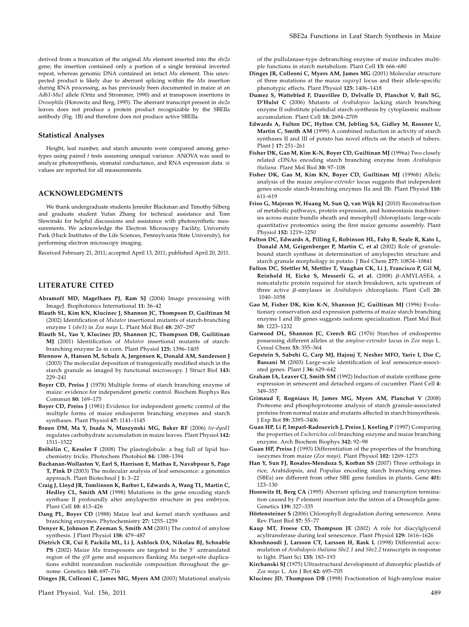derived from a truncation of the original Mu element inserted into the sbe2a gene; the insertion contained only a portion of a single terminal inverted repeat, whereas genomic DNA contained an intact Mu element. This unexpected product is likely due to aberrant splicing within the Mu insertion during RNA processing, as has previously been documented in maize at an Adh1-Mu1 allele (Ortiz and Strommer, 1990) and at transposon insertions in Drosophila (Horowitz and Berg, 1995). The aberrant transcript present in sbe2a leaves does not produce a protein product recognizable by the SBEIIa antibody (Fig. 1B) and therefore does not produce active SBEIIa.

#### Statistical Analyses

Height, leaf number, and starch amounts were compared among genotypes using paired  $t$  tests assuming unequal variance. ANOVA was used to analyze photosynthesis, stomatal conductance, and RNA expression data. SE values are reported for all measurements.

## ACKNOWLEDGMENTS

We thank undergraduate students Jennifer Blackman and Timothy Silberg and graduate student Yufan Zhang for technical assistance and Tom Slewinski for helpful discussions and assistance with photosynthetic measurements. We acknowledge the Electron Microscopy Facility, University Park (Huck Institutes of the Life Sciences, Pennsylvania State University), for performing electron microscopy imaging.

Received February 21, 2011; accepted April 13, 2011; published April 20, 2011.

## LITERATURE CITED

- Abramoff MD, Magelhaes PJ, Ram SJ (2004) Image processing with ImageJ. Biophotonics International 11: 36–42
- Blauth SL, Kim KN, Klucinec J, Shannon JC, Thompson D, Guiltinan M (2002) Identification of Mutator insertional mutants of starch-branching enzyme 1 (sbe1) in Zea mays L. Plant Mol Biol 48: 287–297
- Blauth SL, Yao Y, Klucinec JD, Shannon JC, Thompson DB, Guilitinan MJ (2001) Identification of Mutator insertional mutants of starchbranching enzyme 2a in corn. Plant Physiol 125: 1396–1405
- Blennow A, Hansen M, Schulz A, Jørgensen K, Donald AM, Sanderson J (2003) The molecular deposition of transgenically modified starch in the starch granule as imaged by functional microscopy. J Struct Biol 143: 229–241
- Boyer CD, Preiss J (1978) Multiple forms of starch branching enzyme of maize: evidence for independent genetic control. Biochem Biophys Res Commun 80: 169–175
- Boyer CD, Preiss J (1981) Evidence for independent genetic control of the multiple forms of maize endosperm branching enzymes and starch synthases. Plant Physiol 67: 1141–1145
- Braun DM, Ma Y, Inada N, Muszynski MG, Baker RF (2006) tie-dyed1 regulates carbohydrate accumulation in maize leaves. Plant Physiol 142: 1511–1522
- Bréhélin C, Kessler F (2008) The plastoglobule: a bag full of lipid biochemistry tricks. Photochem Photobiol 84: 1388–1394
- Buchanan-Wollaston V, Earl S, Harrison E, Mathas E, Navabpour S, Page T, Pink D (2003) The molecular analysis of leaf senescence: a genomics approach. Plant Biotechnol J 1: 3–22
- Craig J, Lloyd JR, Tomlinson K, Barber L, Edwards A, Wang TL, Martin C, Hedley CL, Smith AM (1998) Mutations in the gene encoding starch synthase II profoundly alter amylopectin structure in pea embryos. Plant Cell 10: 413–426
- Dang PL, Boyer CD (1988) Maize leaf and kernel starch synthases and branching enzymes. Phytochemistry 27: 1255–1259
- Denyer K, Johnson P, Zeeman S, Smith AM (2001) The control of amylose synthesis. J Plant Physiol 158: 479–487
- Dietrich CR, Cui F, Packila ML, Li J, Ashlock DA, Nikolau BJ, Schnable PS (2002) Maize  $Mu$  transposons are targeted to the  $5'$  untranslated region of the gl8 gene and sequences flanking Mu target-site duplications exhibit nonrandom nucleotide composition throughout the genome. Genetics 160: 697–716

Dinges JR, Colleoni C, James MG, Myers AM (2003) Mutational analysis

Plant Physiol. Vol. 156, 2011 489

of the pullulanase-type debranching enzyme of maize indicates multiple functions in starch metabolism. Plant Cell 15: 666–680

- Dinges JR, Colleoni C, Myers AM, James MG (2001) Molecular structure of three mutations at the maize sugary1 locus and their allele-specific phenotypic effects. Plant Physiol 125: 1406–1418
- Dumez S, Wattebled F, Dauvillee D, Delvalle D, Planchot V, Ball SG, D'Hulst C (2006) Mutants of Arabidopsis lacking starch branching enzyme II substitute plastidial starch synthesis by cytoplasmic maltose accumulation. Plant Cell 18: 2694–2709
- Edwards A, Fulton DC, Hylton CM, Jobling SA, Gidley M, Rossner U, Martin C, Smith AM (1999) A combined reduction in activity of starch synthases II and III of potato has novel effects on the starch of tubers. Plant J 17: 251–261
- Fisher DK, Gao M, Kim K-N, Boyer CD, Guiltinan MJ (1996a) Two closely related cDNAs encoding starch branching enzyme from Arabidopsis thaliana. Plant Mol Biol 30: 97–108
- Fisher DK, Gao M, Kim KN, Boyer CD, Guiltinan MJ (1996b) Allelic analysis of the maize amylose-extender locus suggests that independent genes encode starch-branching enzymes IIa and IIb. Plant Physiol 110: 611–619
- Friso G, Majeran W, Huang M, Sun Q, van Wijk KJ (2010) Reconstruction of metabolic pathways, protein expression, and homeostasis machineries across maize bundle sheath and mesophyll chloroplasts: large-scale quantitative proteomics using the first maize genome assembly. Plant Physiol 152: 1219–1250
- Fulton DC, Edwards A, Pilling E, Robinson HL, Fahy B, Seale R, Kato L, Donald AM, Geigenberger P, Martin C, et al (2002) Role of granulebound starch synthase in determination of amylopectin structure and starch granule morphology in potato. J Biol Chem 277: 10834–10841
- Fulton DC, Stettler M, Mettler T, Vaughan CK, Li J, Francisco P, Gil M, Reinhold H, Eicke S, Messerli G, et al. (2008)  $\beta$ -AMYLASE4, a noncatalytic protein required for starch breakdown, acts upstream of three active  $\beta$ -amylases in Arabidopsis chloroplasts. Plant Cell 20: 1040–1058
- Gao M, Fisher DK, Kim K-N, Shannon JC, Guiltinan MJ (1996) Evolutionary conservation and expression patterns of maize starch branching enzyme I and IIb genes suggests isoform specialization. Plant Mol Biol 30: 1223–1232
- Garwood DL, Shannon JC, Creech RG (1976) Starches of endosperms possessing different alleles at the amylose-extender locus in Zea mays L. Cereal Chem 53: 355–364
- Gepstein S, Sabehi G, Carp MJ, Hajouj T, Nesher MFO, Yariv I, Dor C, Bassani M (2003) Large-scale identification of leaf senescence-associated genes. Plant J 36: 629–642
- Graham IA, Leaver CJ, Smith SM (1992) lnduction of malate synthase gene expression in senescent and detached organs of cucumber. Plant Cell 4: 349–357
- Grimaud F, Rogniaux H, James MG, Myers AM, Planchot V (2008) Proteome and phosphoproteome analysis of starch granule-associated proteins from normal maize and mutants affected in starch biosynthesis. J Exp Bot 59: 3395–3406
- Guan HP, Li P, Imparl-Radosevich J, Preiss J, Keeling P (1997) Comparing the properties of Escherichia coli branching enzyme and maize branching enzyme. Arch Biochem Biophys 342: 92–98
- Guan HP, Preiss J (1993) Differentiation of the properties of the branching isozymes from maize (Zea mays). Plant Physiol 102: 1269–1273
- Han Y, Sun FJ, Rosales-Mendoza S, Korban SS (2007) Three orthologs in rice, Arabidopsis, and Populus encoding starch branching enzymes (SBEs) are different from other SBE gene families in plants. Gene 401: 123–130
- Horowitz H, Berg CA (1995) Aberrant splicing and transcription termination caused by P element insertion into the intron of a Drosophila gene. Genetics 139: 327–335
- Hörtensteiner S (2006) Chlorophyll degradation during senescence. Annu Rev Plant Biol 57: 55–77
- Kaup MT, Froese CD, Thompson JE (2002) A role for diacylglycerol acyltransferase during leaf senescence. Plant Physiol 129: 1616–1626
- Khoshnoodi J, Larsson CT, Larsson H, Rask L (1998) Differential accumulation of Arabidopsis thaliana Sbe2.1 and Sbe2.2 transcripts in response to light. Plant Sci 135: 183–193
- Kirchanski SJ (1975) Ultrastructural development of dimorphic plastids of Zea mays L. Am J Bot 62: 695-705
- Klucinec JD, Thompson DB (1998) Fractionation of high-amylose maize